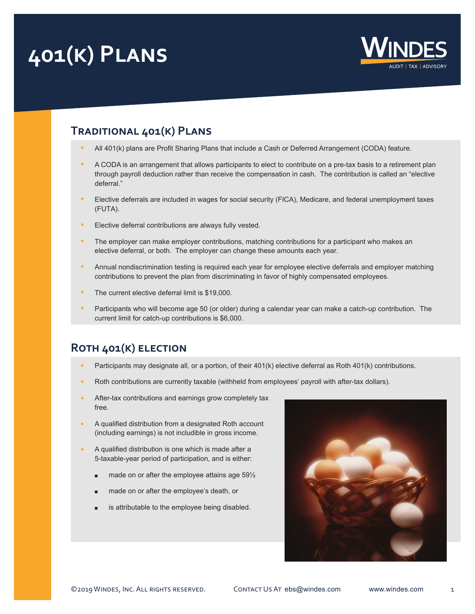## **401(k) Plans**



## **Traditional 401(k) Plans**

- **•** All 401(k) plans are Profit Sharing Plans that include a Cash or Deferred Arrangement (CODA) feature.
- **•** A CODA is an arrangement that allows participants to elect to contribute on a pre-tax basis to a retirement plan through payroll deduction rather than receive the compensation in cash. The contribution is called an "elective deferral."
- **•** Elective deferrals are included in wages for social security (FICA), Medicare, and federal unemployment taxes (FUTA).
- **•** Elective deferral contributions are always fully vested.
- **•** The employer can make employer contributions, matching contributions for a participant who makes an elective deferral, or both. The employer can change these amounts each year.
- **•** Annual nondiscrimination testing is required each year for employee elective deferrals and employer matching contributions to prevent the plan from discriminating in favor of highly compensated employees.
- **•** The current elective deferral limit is \$19,000.
- **•** Participants who will become age 50 (or older) during a calendar year can make a catch-up contribution. The current limit for catch-up contributions is \$6,000.

## **Roth 401(k) election**

- **•** Participants may designate all, or a portion, of their 401(k) elective deferral as Roth 401(k) contributions.
- **•** Roth contributions are currently taxable (withheld from employees' payroll with after-tax dollars).
- **•** After-tax contributions and earnings grow completely tax free.
- **•** A qualified distribution from a designated Roth account (including earnings) is not includible in gross income.
- **•** A qualified distribution is one which is made after a 5-taxable-year period of participation, and is either:
	- $\blacksquare$  made on or after the employee attains age 59 $\frac{1}{2}$
	- made on or after the employee's death, or
	- is attributable to the employee being disabled.